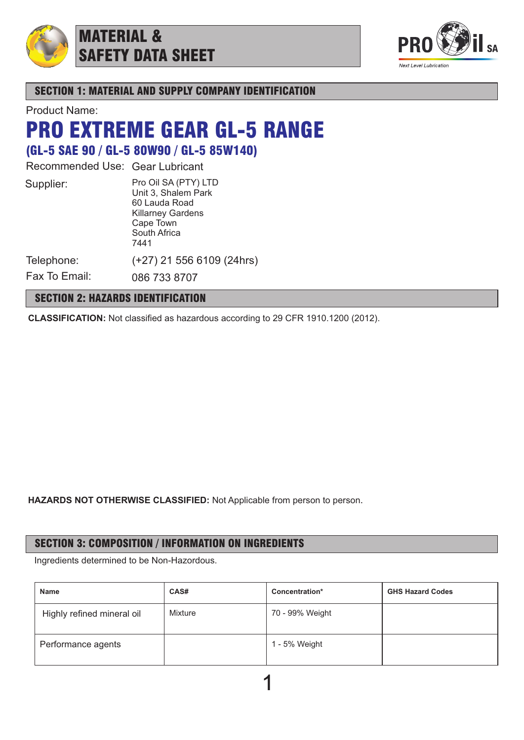

# MATERIAL & SAFETY DATA SHEET



## SECTION 1: MATERIAL AND SUPPLY COMPANY IDENTIFICATION

Product Name:

# PRO EXTREME GEAR GL-5 RANGE

(GL-5 SAE 90 / GL-5 80W90 / GL-5 85W140)

Recommended Use: Gear Lubricant

Pro Oil SA (PTY) LTD Unit 3, Shalem Park 60 Lauda Road Killarney Gardens Cape Town South Africa 7441 (+27) 21 556 6109 (24hrs)

Telephone: Fax To Email:

086 733 8707

# SECTION 2: HAZARDS IDENTIFICATION

**CLASSIFICATION:** Not classified as hazardous according to 29 CFR 1910.1200 (2012).

**HAZARDS NOT OTHERWISE CLASSIFIED:** Not Applicable from person to person.

# SECTION 3: COMPOSITION / INFORMATION ON INGREDIENTS

Ingredients determined to be Non-Hazordous.

| <b>Name</b>                | CAS#    | Concentration*  | <b>GHS Hazard Codes</b> |
|----------------------------|---------|-----------------|-------------------------|
| Highly refined mineral oil | Mixture | 70 - 99% Weight |                         |
| Performance agents         |         | 1 - 5% Weight   |                         |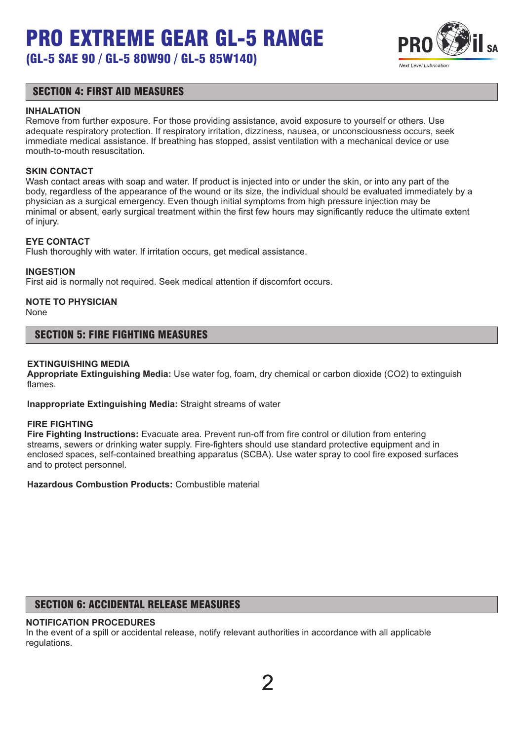# PRO EXTREME GEAR GL-5 RANGE (GL-5 SAE 90 / GL-5 80W90 / GL-5 85W140)



### SECTION 4: FIRST AID MEASURES

#### **INHALATION**

Remove from further exposure. For those providing assistance, avoid exposure to yourself or others. Use adequate respiratory protection. If respiratory irritation, dizziness, nausea, or unconsciousness occurs, seek immediate medical assistance. If breathing has stopped, assist ventilation with a mechanical device or use mouth-to-mouth resuscitation.

#### **SKIN CONTACT**

Wash contact areas with soap and water. If product is injected into or under the skin, or into any part of the body, regardless of the appearance of the wound or its size, the individual should be evaluated immediately by a physician as a surgical emergency. Even though initial symptoms from high pressure injection may be minimal or absent, early surgical treatment within the first few hours may significantly reduce the ultimate extent of injury.

#### **EYE CONTACT**

Flush thoroughly with water. If irritation occurs, get medical assistance.

#### **INGESTION**

First aid is normally not required. Seek medical attention if discomfort occurs.

# **NOTE TO PHYSICIAN**

None

#### SECTION 5: FIRE FIGHTING MEASURES

#### **EXTINGUISHING MEDIA**

**Appropriate Extinguishing Media:** Use water fog, foam, dry chemical or carbon dioxide (CO2) to extinguish flames.

**Inappropriate Extinguishing Media:** Straight streams of water

#### **FIRE FIGHTING**

**Fire Fighting Instructions:** Evacuate area. Prevent run-off from fire control or dilution from entering streams, sewers or drinking water supply. Fire-fighters should use standard protective equipment and in enclosed spaces, self-contained breathing apparatus (SCBA). Use water spray to cool fire exposed surfaces and to protect personnel.

**Hazardous Combustion Products:** Combustible material

# SECTION 6: ACCIDENTAL RELEASE MEASURES

#### **NOTIFICATION PROCEDURES**

In the event of a spill or accidental release, notify relevant authorities in accordance with all applicable regulations.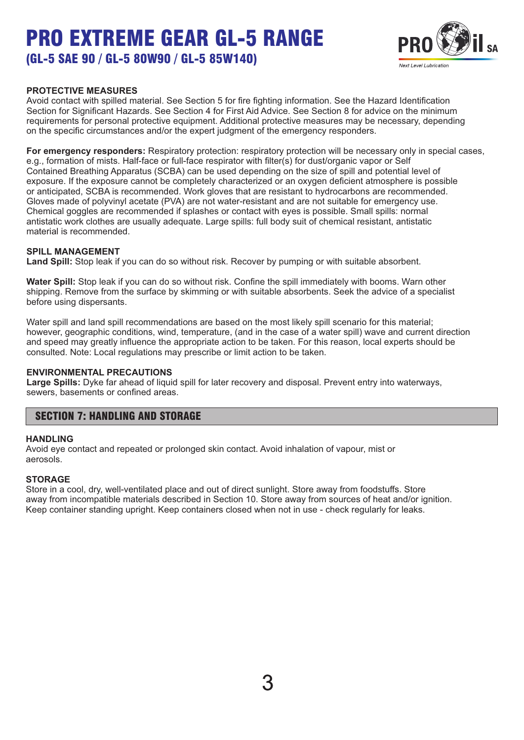(GL-5 SAE 90 / GL-5 80W90 / GL-5 85W140)



#### **PROTECTIVE MEASURES**

Avoid contact with spilled material. See Section 5 for fire fighting information. See the Hazard Identification Section for Significant Hazards. See Section 4 for First Aid Advice. See Section 8 for advice on the minimum requirements for personal protective equipment. Additional protective measures may be necessary, depending on the specific circumstances and/or the expert judgment of the emergency responders.

**For emergency responders:** Respiratory protection: respiratory protection will be necessary only in special cases, e.g., formation of mists. Half-face or full-face respirator with filter(s) for dust/organic vapor or Self Contained Breathing Apparatus (SCBA) can be used depending on the size of spill and potential level of exposure. If the exposure cannot be completely characterized or an oxygen deficient atmosphere is possible or anticipated, SCBA is recommended. Work gloves that are resistant to hydrocarbons are recommended. Gloves made of polyvinyl acetate (PVA) are not water-resistant and are not suitable for emergency use. Chemical goggles are recommended if splashes or contact with eyes is possible. Small spills: normal antistatic work clothes are usually adequate. Large spills: full body suit of chemical resistant, antistatic material is recommended.

#### **SPILL MANAGEMENT**

**Land Spill:** Stop leak if you can do so without risk. Recover by pumping or with suitable absorbent.

**Water Spill:** Stop leak if you can do so without risk. Confine the spill immediately with booms. Warn other shipping. Remove from the surface by skimming or with suitable absorbents. Seek the advice of a specialist before using dispersants.

Water spill and land spill recommendations are based on the most likely spill scenario for this material; however, geographic conditions, wind, temperature, (and in the case of a water spill) wave and current direction and speed may greatly influence the appropriate action to be taken. For this reason, local experts should be consulted. Note: Local regulations may prescribe or limit action to be taken.

#### **ENVIRONMENTAL PRECAUTIONS**

**Large Spills:** Dyke far ahead of liquid spill for later recovery and disposal. Prevent entry into waterways, sewers, basements or confined areas.

### SECTION 7: HANDLING AND STORAGE

#### **HANDLING**

Avoid eye contact and repeated or prolonged skin contact. Avoid inhalation of vapour, mist or aerosols.

#### **STORAGE**

Store in a cool, dry, well-ventilated place and out of direct sunlight. Store away from foodstuffs. Store away from incompatible materials described in Section 10. Store away from sources of heat and/or ignition. Keep container standing upright. Keep containers closed when not in use - check regularly for leaks.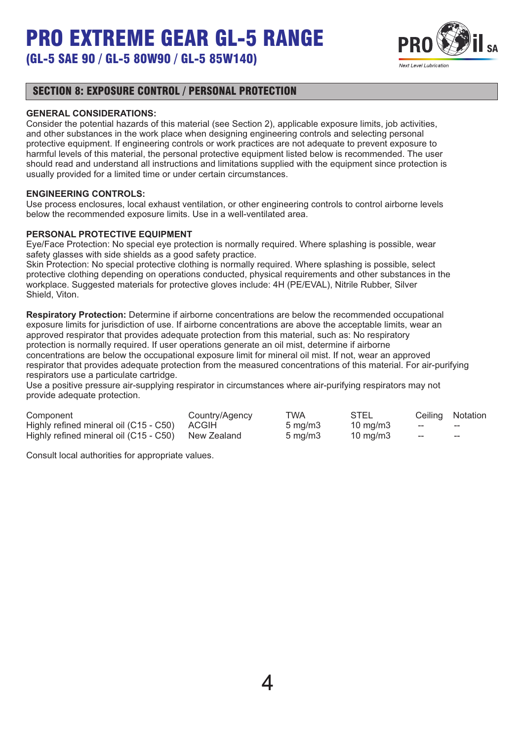

# (GL-5 SAE 90 / GL-5 80W90 / GL-5 85W140)

## SECTION 8: EXPOSURE CONTROL / PERSONAL PROTECTION

#### **GENERAL CONSIDERATIONS:**

Consider the potential hazards of this material (see Section 2), applicable exposure limits, job activities, and other substances in the work place when designing engineering controls and selecting personal protective equipment. If engineering controls or work practices are not adequate to prevent exposure to harmful levels of this material, the personal protective equipment listed below is recommended. The user should read and understand all instructions and limitations supplied with the equipment since protection is usually provided for a limited time or under certain circumstances.

#### **ENGINEERING CONTROLS:**

Use process enclosures, local exhaust ventilation, or other engineering controls to control airborne levels below the recommended exposure limits. Use in a well-ventilated area.

#### **PERSONAL PROTECTIVE EQUIPMENT**

Eye/Face Protection: No special eye protection is normally required. Where splashing is possible, wear safety glasses with side shields as a good safety practice.

Skin Protection: No special protective clothing is normally required. Where splashing is possible, select protective clothing depending on operations conducted, physical requirements and other substances in the workplace. Suggested materials for protective gloves include: 4H (PE/EVAL), Nitrile Rubber, Silver Shield, Viton.

**Respiratory Protection:** Determine if airborne concentrations are below the recommended occupational exposure limits for jurisdiction of use. If airborne concentrations are above the acceptable limits, wear an approved respirator that provides adequate protection from this material, such as: No respiratory protection is normally required. If user operations generate an oil mist, determine if airborne concentrations are below the occupational exposure limit for mineral oil mist. If not, wear an approved respirator that provides adequate protection from the measured concentrations of this material. For air-purifying respirators use a particulate cartridge.

Use a positive pressure air-supplying respirator in circumstances where air-purifying respirators may not provide adequate protection.

| Component                                          | Country/Agency | TWA                | STEL                |       | Ceiling Notation         |
|----------------------------------------------------|----------------|--------------------|---------------------|-------|--------------------------|
| Highly refined mineral oil (C15 - C50) ACGIH       |                | $5 \text{ ma/m}$ 3 | $10 \text{ ma/m}$ 3 | $- -$ | $\overline{\phantom{a}}$ |
| Highly refined mineral oil (C15 - C50) New Zealand |                | $5 \text{ ma/m}$ 3 | $10 \text{ ma/m}$ 3 | $- -$ | $- -$                    |

Consult local authorities for appropriate values.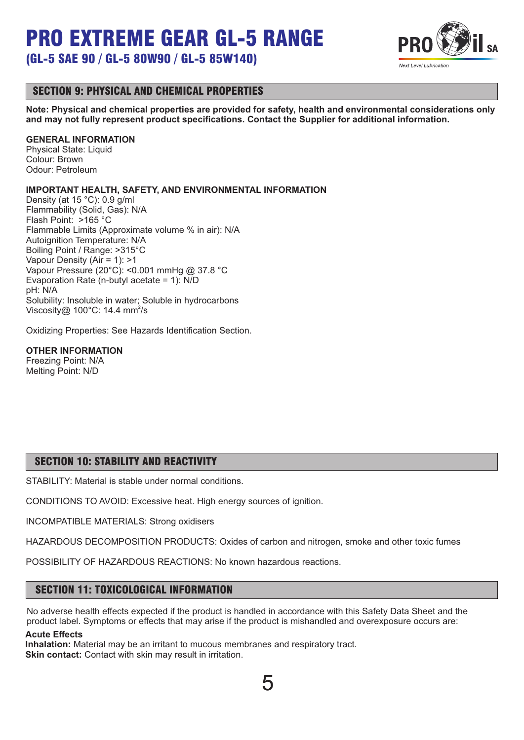(GL-5 SAE 90 / GL-5 80W90 / GL-5 85W140)



# SECTION 9: PHYSICAL AND CHEMICAL PROPERTIES

**Note: Physical and chemical properties are provided for safety, health and environmental considerations only and may not fully represent product specifications. Contact the Supplier for additional information.**

#### **GENERAL INFORMATION**

Physical State: Liquid Colour: Brown Odour: Petroleum

#### **IMPORTANT HEALTH, SAFETY, AND ENVIRONMENTAL INFORMATION**

Density (at 15 °C): 0.9 g/ml Flammability (Solid, Gas): N/A Flash Point: >165 °C Flammable Limits (Approximate volume % in air): N/A Autoignition Temperature: N/A Boiling Point / Range: >315°C Vapour Density (Air = 1): >1 Vapour Pressure (20°C): <0.001 mmHg @ 37.8 °C Evaporation Rate (n-butyl acetate = 1): N/D pH: N/A Solubility: Insoluble in water; Soluble in hydrocarbons Viscosity@ 100°C: 14.4 mm<sup>2</sup>/s

Oxidizing Properties: See Hazards Identification Section.

#### **OTHER INFORMATION**

Freezing Point: N/A Melting Point: N/D

# SECTION 10: STABILITY AND REACTIVITY

STABILITY: Material is stable under normal conditions.

CONDITIONS TO AVOID: Excessive heat. High energy sources of ignition.

INCOMPATIBLE MATERIALS: Strong oxidisers

HAZARDOUS DECOMPOSITION PRODUCTS: Oxides of carbon and nitrogen, smoke and other toxic fumes

POSSIBILITY OF HAZARDOUS REACTIONS: No known hazardous reactions.

### SECTION 11: TOXICOLOGICAL INFORMATION

No adverse health effects expected if the product is handled in accordance with this Safety Data Sheet and the product label. Symptoms or effects that may arise if the product is mishandled and overexposure occurs are:

#### **Acute Effects**

**Inhalation:** Material may be an irritant to mucous membranes and respiratory tract. **Skin contact:** Contact with skin may result in irritation.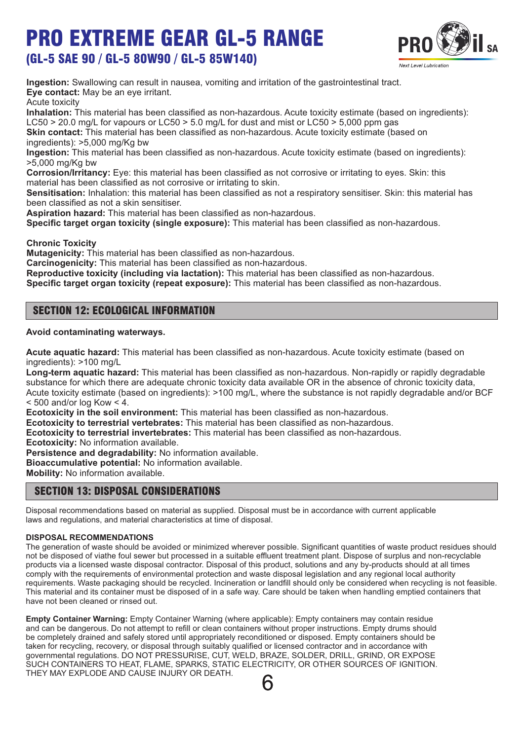(GL-5 SAE 90 / GL-5 80W90 / GL-5 85W140)



**Ingestion:** Swallowing can result in nausea, vomiting and irritation of the gastrointestinal tract. **Eye contact:** May be an eye irritant.

#### Acute toxicity

**Inhalation:** This material has been classified as non-hazardous. Acute toxicity estimate (based on ingredients): LC50  $>$  20.0 mg/L for vapours or LC50  $>$  5.0 mg/L for dust and mist or LC50  $>$  5,000 ppm gas

**Skin contact:** This material has been classified as non-hazardous. Acute toxicity estimate (based on ingredients): >5,000 mg/Kg bw

**Ingestion:** This material has been classified as non-hazardous. Acute toxicity estimate (based on ingredients): >5,000 mg/Kg bw

**Corrosion/Irritancy:** Eye: this material has been classified as not corrosive or irritating to eyes. Skin: this material has been classified as not corrosive or irritating to skin.

**Sensitisation:** Inhalation: this material has been classified as not a respiratory sensitiser. Skin: this material has been classified as not a skin sensitiser.

**Aspiration hazard:** This material has been classified as non-hazardous.

**Specific target organ toxicity (single exposure):** This material has been classified as non-hazardous.

**Chronic Toxicity**

**Mutagenicity:** This material has been classified as non-hazardous.

**Carcinogenicity:** This material has been classified as non-hazardous.

**Reproductive toxicity (including via lactation):** This material has been classified as non-hazardous.

**Specific target organ toxicity (repeat exposure):** This material has been classified as non-hazardous.

## SECTION 12: ECOLOGICAL INFORMATION

#### **Avoid contaminating waterways.**

**Acute aquatic hazard:** This material has been classified as non-hazardous. Acute toxicity estimate (based on ingredients): >100 mg/L

**Long-term aquatic hazard:** This material has been classified as non-hazardous. Non-rapidly or rapidly degradable substance for which there are adequate chronic toxicity data available OR in the absence of chronic toxicity data, Acute toxicity estimate (based on ingredients): >100 mg/L, where the substance is not rapidly degradable and/or BCF  $<$  500 and/or log Kow  $<$  4.

**Ecotoxicity in the soil environment:** This material has been classified as non-hazardous.

**Ecotoxicity to terrestrial vertebrates:** This material has been classified as non-hazardous.

**Ecotoxicity to terrestrial invertebrates:** This material has been classified as non-hazardous.

**Ecotoxicity:** No information available.

**Persistence and degradability:** No information available.

**Bioaccumulative potential:** No information available.

**Mobility:** No information available.

### SECTION 13: DISPOSAL CONSIDERATIONS

Disposal recommendations based on material as supplied. Disposal must be in accordance with current applicable laws and regulations, and material characteristics at time of disposal.

#### **DISPOSAL RECOMMENDATIONS**

The generation of waste should be avoided or minimized wherever possible. Significant quantities of waste product residues should not be disposed of viathe foul sewer but processed in a suitable effluent treatment plant. Dispose of surplus and non-recyclable products via a licensed waste disposal contractor. Disposal of this product, solutions and any by-products should at all times comply with the requirements of environmental protection and waste disposal legislation and any regional local authority requirements. Waste packaging should be recycled. Incineration or landfill should only be considered when recycling is not feasible. This material and its container must be disposed of in a safe way. Care should be taken when handling emptied containers that have not been cleaned or rinsed out.

**Empty Container Warning:** Empty Container Warning (where applicable): Empty containers may contain residue and can be dangerous. Do not attempt to refill or clean containers without proper instructions. Empty drums should be completely drained and safely stored until appropriately reconditioned or disposed. Empty containers should be taken for recycling, recovery, or disposal through suitably qualified or licensed contractor and in accordance with governmental regulations. DO NOT PRESSURISE, CUT, WELD, BRAZE, SOLDER, DRILL, GRIND, OR EXPOSE SUCH CONTAINERS TO HEAT, FLAME, SPARKS, STATIC ELECTRICITY, OR OTHER SOURCES OF IGNITION. THEY MAY EXPLODE AND CAUSE INJURY OR DEATH.